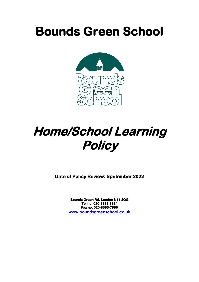## **Bounds Green School**



## **Home/School Learning Policy**

**Date of Policy Review: Spetember 2022** 

**Bounds Green Rd, London N11 2QG Tel no: 020-8888-8824 Fax no: 020-8365-7986 [www.boundsgreenschool.co.uk](http://www.boundsgreenschool.co.uk/)**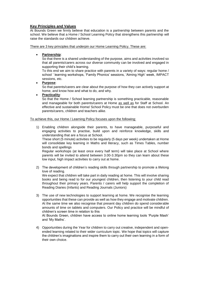## **Key Principles and Values**

At Bounds Green we firmly believe that education is a partnership between parents and the school. We believe that a Home / School Learning Policy that strengthens this partnership will raise the standards our children achieve.

There are 3 key principles that underpin our Home Learning Policy. These are:

**Partnership**:

So that there is a shared understanding of the purpose, aims and activities involved so that all parents/carers across our diverse community can be involved and engaged in supporting their child's learning.

To this end we aim to share practice with parents in a variety of ways: regular home / school ' learning workshops, 'Family Phonics' sessions, 'Aiming High' week, IMPACT sessions, etc.

**Purpose**:

So that parents/carers are clear about the purpose of how they can actively support at home, and know how and what to do, and why.

**Practicality**:

So that the Home / School learning partnership is something practicable, reasonable and manageable for both parents/carers at Home as well as for Staff at School. An effective and sustainable Home/ School Policy must be one that does not overburden parents/carers, children and teachers alike.

To achieve this, our Home / Learning Policy focuses upon the following:

1) Enabling children alongside their parents, to have manageable, purposeful and engaging activities to practise, build upon and reinforce knowledge, skills and understanding that are a focus at School.

These short (5 minute) activities to be regularly (5 days per week) undertaken at Home will consolidate key learning in Maths and literacy, such as Times Tables, number bonds and spellings

Regular workshops (at least once every half term) will take place at School where parents will be invited to attend between 3.00-3.30pm so they can learn about these low input, high impact activities to carry out at home.

2) The development of children's reading skills through partnership to promote a lifelong love of reading. We expect that children will take part in daily reading at home. This will involve sharing books and being read to for our youngest children, then listening to your child read

throughout their primary years. Parents / carers will help support the completion of Reading Diaries (Infants) and Reading Journals (Juniors) 3) The use of new technologies to support learning at home. We recognise the learning

opportunities that these can provide as well as how they engage and motivate children. At the same time we also recognise that present day children do spend considerable amounts of time on tablets and computers. Our Policy and practice will be mindful of children's screen time in relation to this

At Bounds Green, children have access to online home learning tools 'Purple Mash' and 'My Maths'.

4) Opportunities during the Year for children to carry out creative, independent and openended learning related to their wider curriculum topic. We hope that topics will capture the children's imaginations and inspire them to carry out their own learning in a form of their own choice.